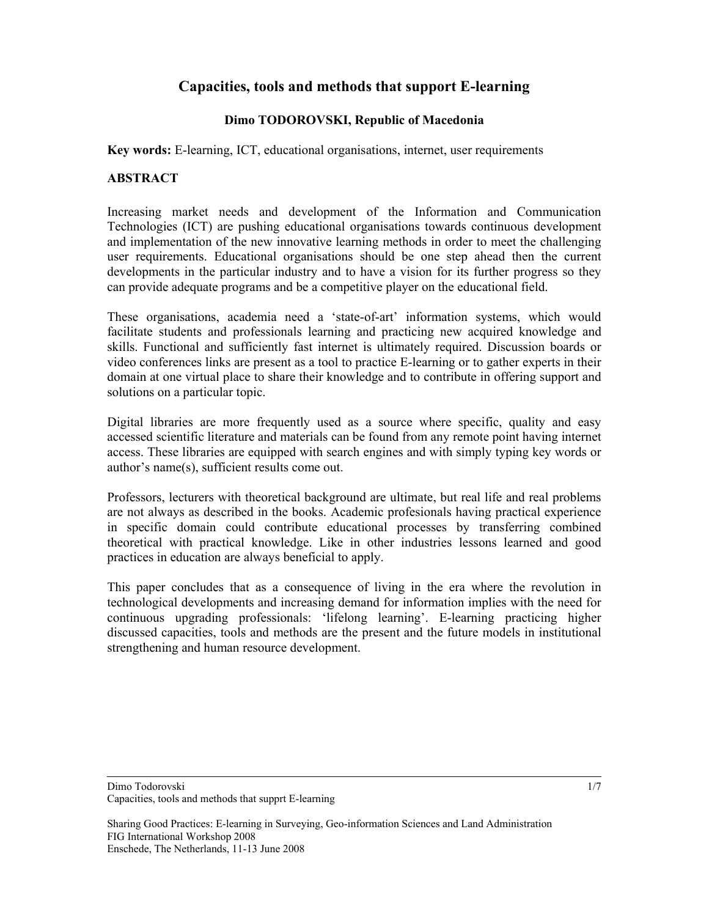# **Capacities, tools and methods that support E-learning**

## **Dimo TODOROVSKI, Republic of Macedonia**

**Key words:** E-learning, ICT, educational organisations, internet, user requirements

## **ABSTRACT**

Increasing market needs and development of the Information and Communication Technologies (ICT) are pushing educational organisations towards continuous development and implementation of the new innovative learning methods in order to meet the challenging user requirements. Educational organisations should be one step ahead then the current developments in the particular industry and to have a vision for its further progress so they can provide adequate programs and be a competitive player on the educational field.

These organisations, academia need a 'state-of-art' information systems, which would facilitate students and professionals learning and practicing new acquired knowledge and skills. Functional and sufficiently fast internet is ultimately required. Discussion boards or video conferences links are present as a tool to practice E-learning or to gather experts in their domain at one virtual place to share their knowledge and to contribute in offering support and solutions on a particular topic.

Digital libraries are more frequently used as a source where specific, quality and easy accessed scientific literature and materials can be found from any remote point having internet access. These libraries are equipped with search engines and with simply typing key words or author's name(s), sufficient results come out.

Professors, lecturers with theoretical background are ultimate, but real life and real problems are not always as described in the books. Academic profesionals having practical experience in specific domain could contribute educational processes by transferring combined theoretical with practical knowledge. Like in other industries lessons learned and good practices in education are always beneficial to apply.

This paper concludes that as a consequence of living in the era where the revolution in technological developments and increasing demand for information implies with the need for continuous upgrading professionals: 'lifelong learning'. E-learning practicing higher discussed capacities, tools and methods are the present and the future models in institutional strengthening and human resource development.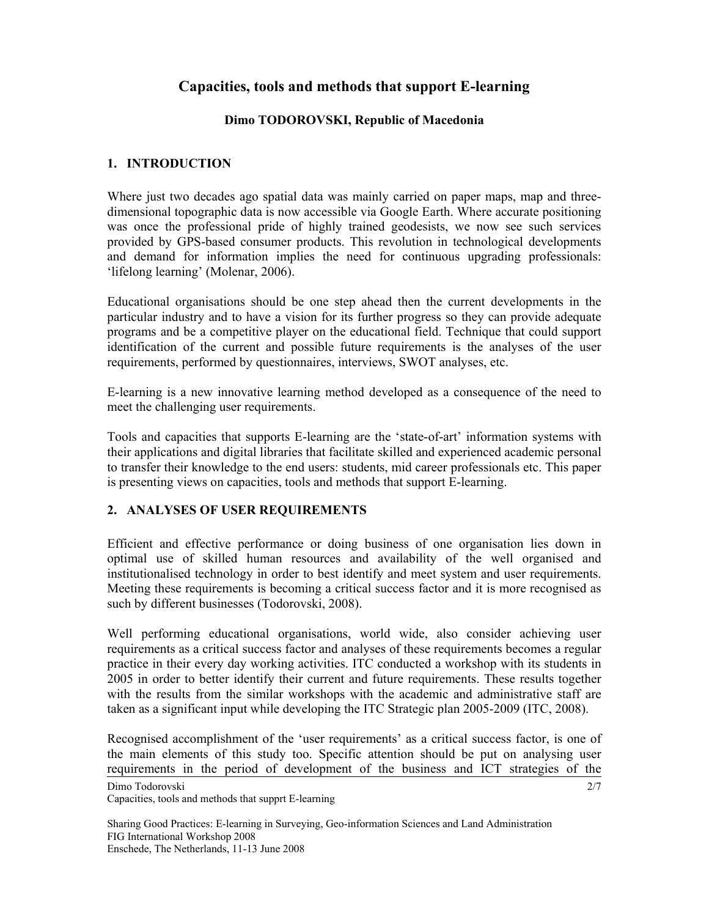# **Capacities, tools and methods that support E-learning**

## **Dimo TODOROVSKI, Republic of Macedonia**

# **1. INTRODUCTION**

Where just two decades ago spatial data was mainly carried on paper maps, map and threedimensional topographic data is now accessible via Google Earth. Where accurate positioning was once the professional pride of highly trained geodesists, we now see such services provided by GPS-based consumer products. This revolution in technological developments and demand for information implies the need for continuous upgrading professionals: 'lifelong learning' (Molenar, 2006).

Educational organisations should be one step ahead then the current developments in the particular industry and to have a vision for its further progress so they can provide adequate programs and be a competitive player on the educational field. Technique that could support identification of the current and possible future requirements is the analyses of the user requirements, performed by questionnaires, interviews, SWOT analyses, etc.

E-learning is a new innovative learning method developed as a consequence of the need to meet the challenging user requirements.

Tools and capacities that supports E-learning are the 'state-of-art' information systems with their applications and digital libraries that facilitate skilled and experienced academic personal to transfer their knowledge to the end users: students, mid career professionals etc. This paper is presenting views on capacities, tools and methods that support E-learning.

# **2. ANALYSES OF USER REQUIREMENTS**

Efficient and effective performance or doing business of one organisation lies down in optimal use of skilled human resources and availability of the well organised and institutionalised technology in order to best identify and meet system and user requirements. Meeting these requirements is becoming a critical success factor and it is more recognised as such by different businesses (Todorovski, 2008).

Well performing educational organisations, world wide, also consider achieving user requirements as a critical success factor and analyses of these requirements becomes a regular practice in their every day working activities. ITC conducted a workshop with its students in 2005 in order to better identify their current and future requirements. These results together with the results from the similar workshops with the academic and administrative staff are taken as a significant input while developing the ITC Strategic plan 2005-2009 (ITC, 2008).

Recognised accomplishment of the 'user requirements' as a critical success factor, is one of the main elements of this study too. Specific attention should be put on analysing user requirements in the period of development of the business and ICT strategies of the

2/7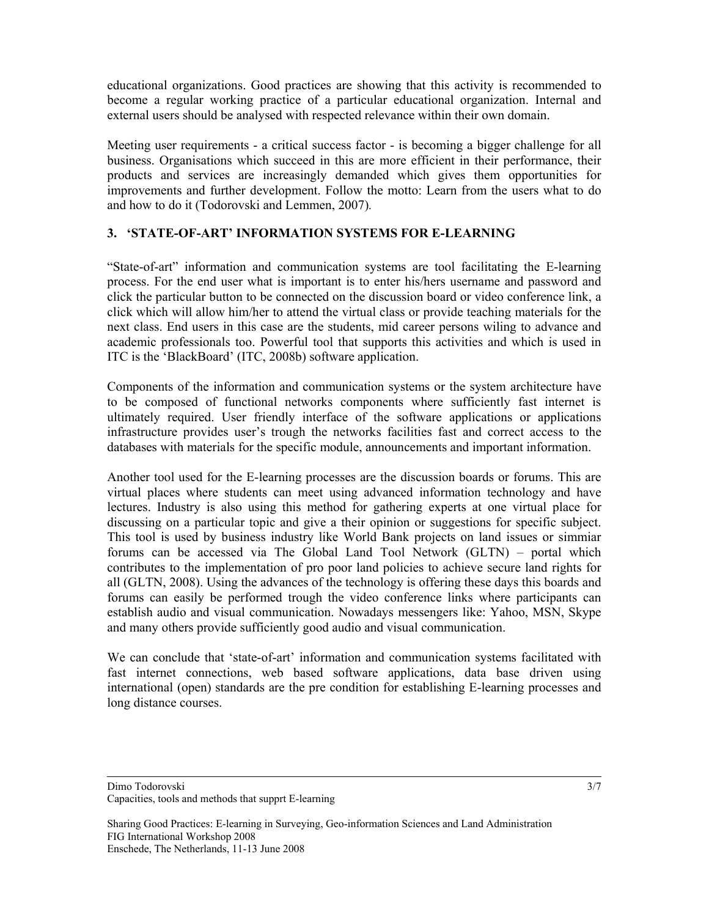educational organizations. Good practices are showing that this activity is recommended to become a regular working practice of a particular educational organization. Internal and external users should be analysed with respected relevance within their own domain.

Meeting user requirements - a critical success factor - is becoming a bigger challenge for all business. Organisations which succeed in this are more efficient in their performance, their products and services are increasingly demanded which gives them opportunities for improvements and further development. Follow the motto: Learn from the users what to do and how to do it (Todorovski and Lemmen, 2007)*.*

## **3. 'STATE-OF-ART' INFORMATION SYSTEMS FOR E-LEARNING**

"State-of-art" information and communication systems are tool facilitating the E-learning process. For the end user what is important is to enter his/hers username and password and click the particular button to be connected on the discussion board or video conference link, a click which will allow him/her to attend the virtual class or provide teaching materials for the next class. End users in this case are the students, mid career persons wiling to advance and academic professionals too. Powerful tool that supports this activities and which is used in ITC is the 'BlackBoard' (ITC, 2008b) software application.

Components of the information and communication systems or the system architecture have to be composed of functional networks components where sufficiently fast internet is ultimately required. User friendly interface of the software applications or applications infrastructure provides user's trough the networks facilities fast and correct access to the databases with materials for the specific module, announcements and important information.

Another tool used for the E-learning processes are the discussion boards or forums. This are virtual places where students can meet using advanced information technology and have lectures. Industry is also using this method for gathering experts at one virtual place for discussing on a particular topic and give a their opinion or suggestions for specific subject. This tool is used by business industry like World Bank projects on land issues or simmiar forums can be accessed via The Global Land Tool Network (GLTN) – portal which contributes to the implementation of pro poor land policies to achieve secure land rights for all (GLTN, 2008). Using the advances of the technology is offering these days this boards and forums can easily be performed trough the video conference links where participants can establish audio and visual communication. Nowadays messengers like: Yahoo, MSN, Skype and many others provide sufficiently good audio and visual communication.

We can conclude that 'state-of-art' information and communication systems facilitated with fast internet connections, web based software applications, data base driven using international (open) standards are the pre condition for establishing E-learning processes and long distance courses.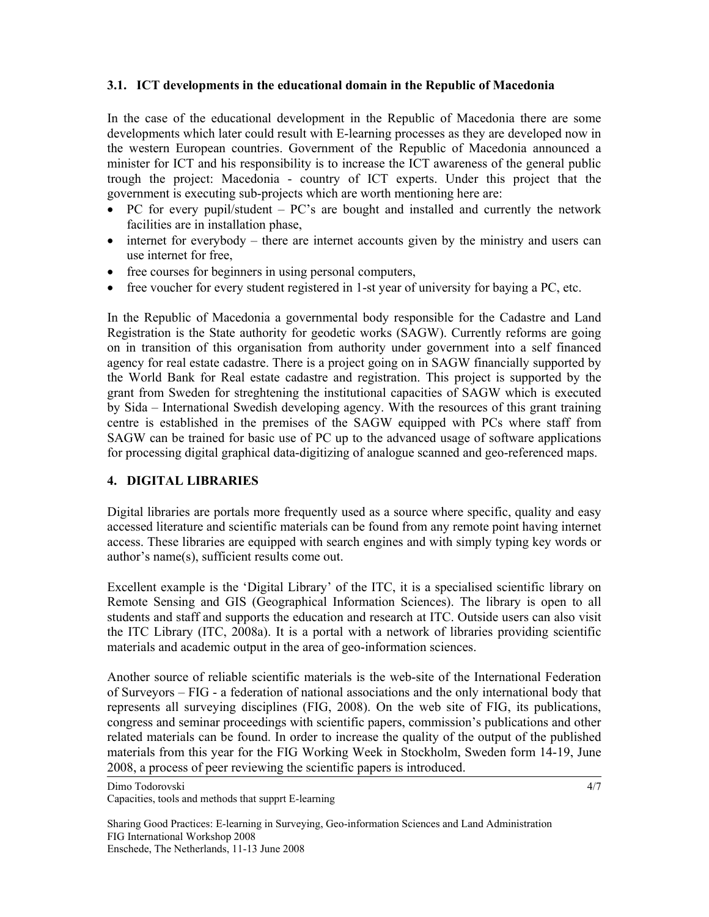### **3.1. ICT developments in the educational domain in the Republic of Macedonia**

In the case of the educational development in the Republic of Macedonia there are some developments which later could result with E-learning processes as they are developed now in the western European countries. Government of the Republic of Macedonia announced a minister for ICT and his responsibility is to increase the ICT awareness of the general public trough the project: Macedonia - country of ICT experts. Under this project that the government is executing sub-projects which are worth mentioning here are:

- PC for every pupil/student PC's are bought and installed and currently the network facilities are in installation phase,
- internet for everybody there are internet accounts given by the ministry and users can use internet for free,
- free courses for beginners in using personal computers,
- free voucher for every student registered in 1-st year of university for baying a PC, etc.

In the Republic of Macedonia a governmental body responsible for the Cadastre and Land Registration is the State authority for geodetic works (SAGW). Currently reforms are going on in transition of this organisation from authority under government into a self financed agency for real estate cadastre. There is a project going on in SAGW financially supported by the World Bank for Real estate cadastre and registration. This project is supported by the grant from Sweden for streghtening the institutional capacities of SAGW which is executed by Sida – International Swedish developing agency. With the resources of this grant training centre is established in the premises of the SAGW equipped with PCs where staff from SAGW can be trained for basic use of PC up to the advanced usage of software applications for processing digital graphical data-digitizing of analogue scanned and geo-referenced maps.

#### **4. DIGITAL LIBRARIES**

Digital libraries are portals more frequently used as a source where specific, quality and easy accessed literature and scientific materials can be found from any remote point having internet access. These libraries are equipped with search engines and with simply typing key words or author's name(s), sufficient results come out.

Excellent example is the 'Digital Library' of the ITC, it is a specialised scientific library on Remote Sensing and GIS (Geographical Information Sciences). The library is open to all students and staff and supports the education and research at ITC. Outside users can also visit the ITC Library (ITC, 2008a). It is a portal with a network of libraries providing scientific materials and academic output in the area of geo-information sciences.

Another source of reliable scientific materials is the web-site of the International Federation of Surveyors – FIG - a federation of national associations and the only international body that represents all surveying disciplines (FIG, 2008). On the web site of FIG, its publications, congress and seminar proceedings with scientific papers, commission's publications and other related materials can be found. In order to increase the quality of the output of the published materials from this year for the FIG Working Week in Stockholm, Sweden form 14-19, June 2008, a process of peer reviewing the scientific papers is introduced.

Dimo Todorovski Capacities, tools and methods that supprt E-learning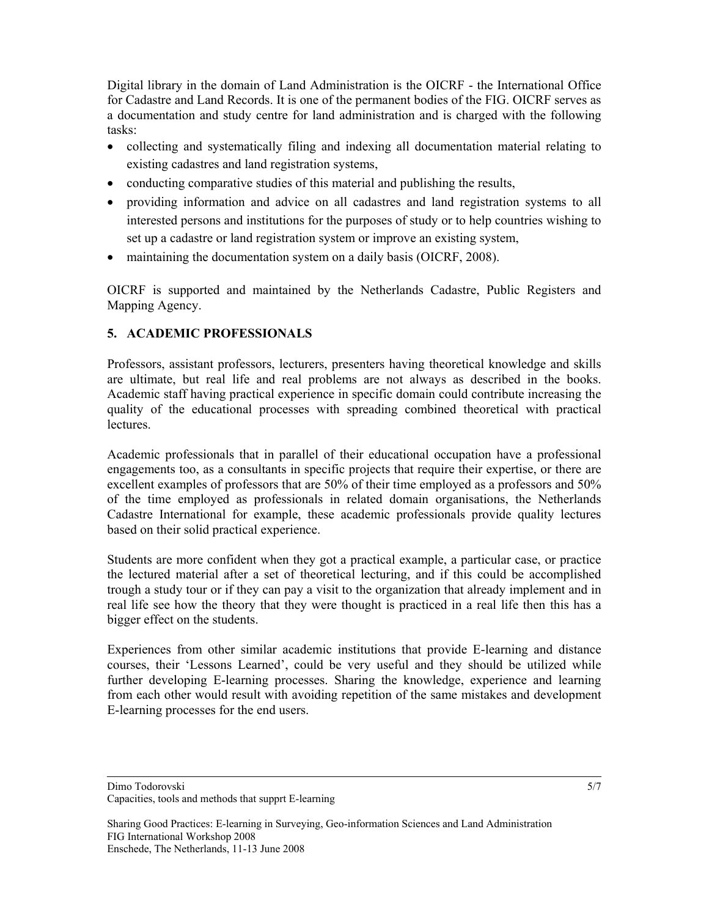Digital library in the domain of Land Administration is the OICRF - the International Office for Cadastre and Land Records. It is one of the permanent bodies of the FIG. OICRF serves as a documentation and study centre for land administration and is charged with the following tasks:

- collecting and systematically filing and indexing all documentation material relating to existing cadastres and land registration systems,
- conducting comparative studies of this material and publishing the results,
- providing information and advice on all cadastres and land registration systems to all interested persons and institutions for the purposes of study or to help countries wishing to set up a cadastre or land registration system or improve an existing system,
- maintaining the documentation system on a daily basis (OICRF, 2008).

OICRF is supported and maintained by the Netherlands Cadastre, Public Registers and Mapping Agency.

# **5. ACADEMIC PROFESSIONALS**

Professors, assistant professors, lecturers, presenters having theoretical knowledge and skills are ultimate, but real life and real problems are not always as described in the books. Academic staff having practical experience in specific domain could contribute increasing the quality of the educational processes with spreading combined theoretical with practical lectures.

Academic professionals that in parallel of their educational occupation have a professional engagements too, as a consultants in specific projects that require their expertise, or there are excellent examples of professors that are 50% of their time employed as a professors and 50% of the time employed as professionals in related domain organisations, the Netherlands Cadastre International for example, these academic professionals provide quality lectures based on their solid practical experience.

Students are more confident when they got a practical example, a particular case, or practice the lectured material after a set of theoretical lecturing, and if this could be accomplished trough a study tour or if they can pay a visit to the organization that already implement and in real life see how the theory that they were thought is practiced in a real life then this has a bigger effect on the students.

Experiences from other similar academic institutions that provide E-learning and distance courses, their 'Lessons Learned', could be very useful and they should be utilized while further developing E-learning processes. Sharing the knowledge, experience and learning from each other would result with avoiding repetition of the same mistakes and development E-learning processes for the end users.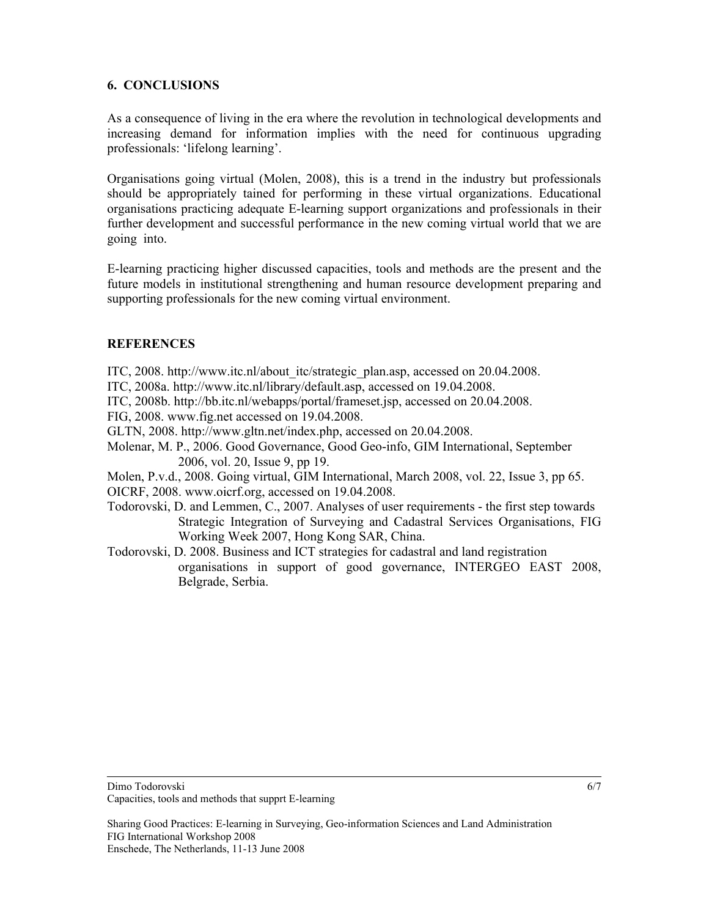### **6. CONCLUSIONS**

As a consequence of living in the era where the revolution in technological developments and increasing demand for information implies with the need for continuous upgrading professionals: 'lifelong learning'.

Organisations going virtual (Molen, 2008), this is a trend in the industry but professionals should be appropriately tained for performing in these virtual organizations. Educational organisations practicing adequate E-learning support organizations and professionals in their further development and successful performance in the new coming virtual world that we are going into.

E-learning practicing higher discussed capacities, tools and methods are the present and the future models in institutional strengthening and human resource development preparing and supporting professionals for the new coming virtual environment.

# **REFERENCES**

- ITC, 2008. http://www.itc.nl/about\_itc/strategic\_plan.asp, accessed on 20.04.2008.
- ITC, 2008a. http://www.itc.nl/library/default.asp, accessed on 19.04.2008.
- ITC, 2008b. http://bb.itc.nl/webapps/portal/frameset.jsp, accessed on 20.04.2008.
- FIG, 2008. www.fig.net accessed on 19.04.2008.
- GLTN, 2008. http://www.gltn.net/index.php, accessed on 20.04.2008.
- Molenar, M. P., 2006. Good Governance, Good Geo-info, GIM International, September 2006, vol. 20, Issue 9, pp 19.

Molen, P.v.d., 2008. Going virtual, GIM International, March 2008, vol. 22, Issue 3, pp 65. OICRF, 2008. www.oicrf.org, accessed on 19.04.2008.

- Todorovski, D. and Lemmen, C., 2007. Analyses of user requirements the first step towards Strategic Integration of Surveying and Cadastral Services Organisations, FIG Working Week 2007, Hong Kong SAR, China.
- Todorovski, D. 2008. Business and ICT strategies for cadastral and land registration organisations in support of good governance, INTERGEO EAST 2008, Belgrade, Serbia.